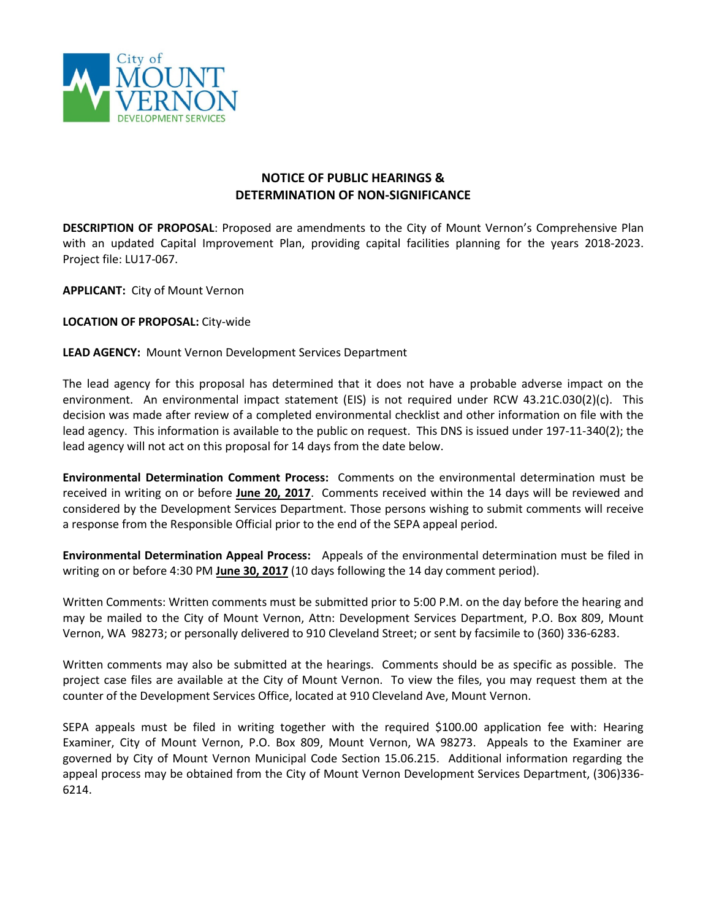

## **NOTICE OF PUBLIC HEARINGS & DETERMINATION OF NON-SIGNIFICANCE**

**DESCRIPTION OF PROPOSAL**: Proposed are amendments to the City of Mount Vernon's Comprehensive Plan with an updated Capital Improvement Plan, providing capital facilities planning for the years 2018-2023. Project file: LU17-067.

**APPLICANT:** City of Mount Vernon

**LOCATION OF PROPOSAL:** City-wide

## **LEAD AGENCY:** Mount Vernon Development Services Department

The lead agency for this proposal has determined that it does not have a probable adverse impact on the environment. An environmental impact statement (EIS) is not required under RCW 43.21C.030(2)(c). This decision was made after review of a completed environmental checklist and other information on file with the lead agency. This information is available to the public on request. This DNS is issued under 197-11-340(2); the lead agency will not act on this proposal for 14 days from the date below.

**Environmental Determination Comment Process:** Comments on the environmental determination must be received in writing on or before **June 20, 2017**. Comments received within the 14 days will be reviewed and considered by the Development Services Department. Those persons wishing to submit comments will receive a response from the Responsible Official prior to the end of the SEPA appeal period.

**Environmental Determination Appeal Process:** Appeals of the environmental determination must be filed in writing on or before 4:30 PM **June 30, 2017** (10 days following the 14 day comment period).

Written Comments: Written comments must be submitted prior to 5:00 P.M. on the day before the hearing and may be mailed to the City of Mount Vernon, Attn: Development Services Department, P.O. Box 809, Mount Vernon, WA 98273; or personally delivered to 910 Cleveland Street; or sent by facsimile to (360) 336-6283.

Written comments may also be submitted at the hearings. Comments should be as specific as possible. The project case files are available at the City of Mount Vernon. To view the files, you may request them at the counter of the Development Services Office, located at 910 Cleveland Ave, Mount Vernon.

SEPA appeals must be filed in writing together with the required \$100.00 application fee with: Hearing Examiner, City of Mount Vernon, P.O. Box 809, Mount Vernon, WA 98273. Appeals to the Examiner are governed by City of Mount Vernon Municipal Code Section 15.06.215. Additional information regarding the appeal process may be obtained from the City of Mount Vernon Development Services Department, (306)336- 6214.